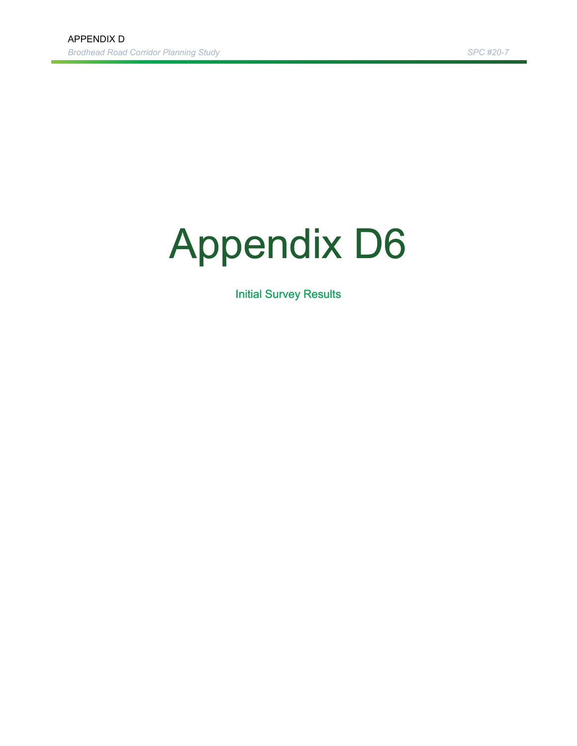# Appendix D6

**Initial Survey Results**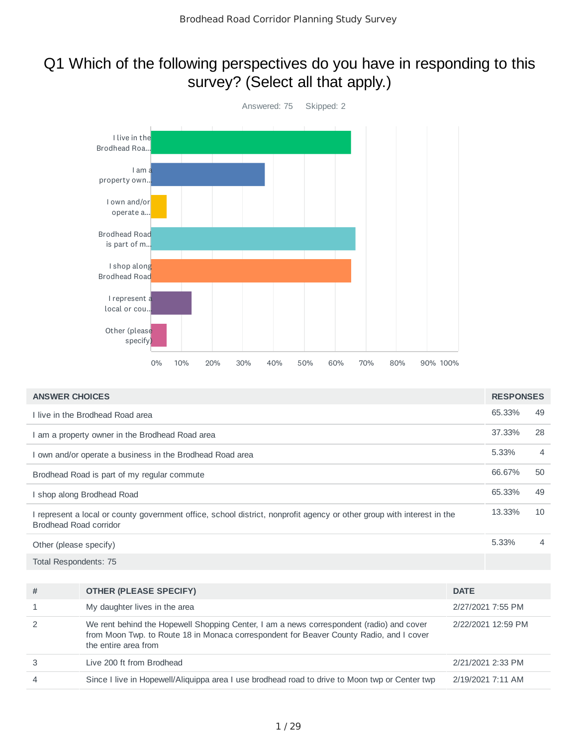## Q1 Which of the following perspectives do you have in responding to this survey? (Select all that apply.)



| <b>ANSWER CHOICES</b>                                                                                                                            | <b>RESPONSES</b> |                |
|--------------------------------------------------------------------------------------------------------------------------------------------------|------------------|----------------|
| I live in the Brodhead Road area                                                                                                                 | 65.33%           | 49             |
| I am a property owner in the Brodhead Road area                                                                                                  | 37.33%           | 28             |
| I own and/or operate a business in the Brodhead Road area                                                                                        | 5.33%            | $\overline{4}$ |
| Brodhead Road is part of my regular commute                                                                                                      | 66.67%           | 50             |
| I shop along Brodhead Road                                                                                                                       | 65.33%           | 49             |
| I represent a local or county government office, school district, nonprofit agency or other group with interest in the<br>Brodhead Road corridor | 13.33%           | 10             |
| Other (please specify)                                                                                                                           | 5.33%            | $\overline{4}$ |
| Total Respondents: 75                                                                                                                            |                  |                |
|                                                                                                                                                  |                  |                |

| #              | <b>OTHER (PLEASE SPECIFY)</b>                                                                                                                                                                               | <b>DATE</b>        |
|----------------|-------------------------------------------------------------------------------------------------------------------------------------------------------------------------------------------------------------|--------------------|
|                | My daughter lives in the area                                                                                                                                                                               | 2/27/2021 7:55 PM  |
| 2              | We rent behind the Hopewell Shopping Center, I am a news correspondent (radio) and cover<br>from Moon Twp. to Route 18 in Monaca correspondent for Beaver County Radio, and I cover<br>the entire area from | 2/22/2021 12:59 PM |
| 3              | Live 200 ft from Brodhead                                                                                                                                                                                   | 2/21/2021 2:33 PM  |
| $\overline{4}$ | Since I live in Hopewell/Aliguippa area I use brodhead road to drive to Moon twp or Center twp                                                                                                              | 2/19/2021 7:11 AM  |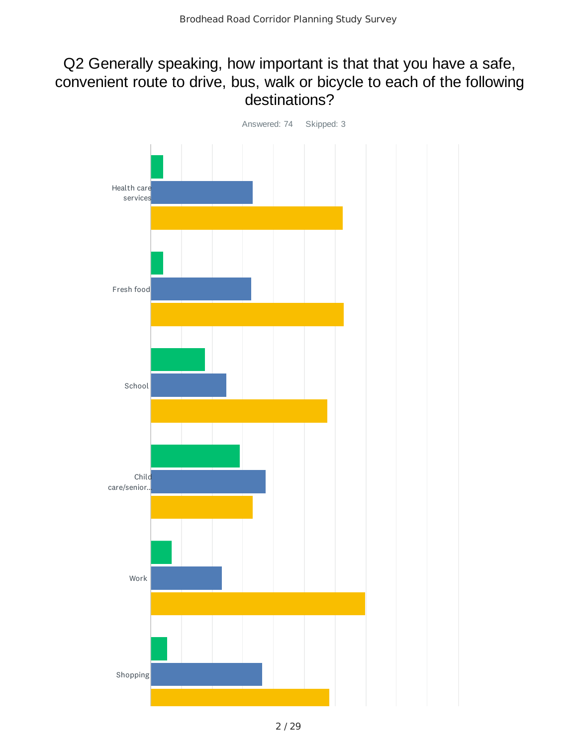## Q2 Generally speaking, how important is that that you have a safe, convenient route to drive, bus, walk or bicycle to each of the following destinations?

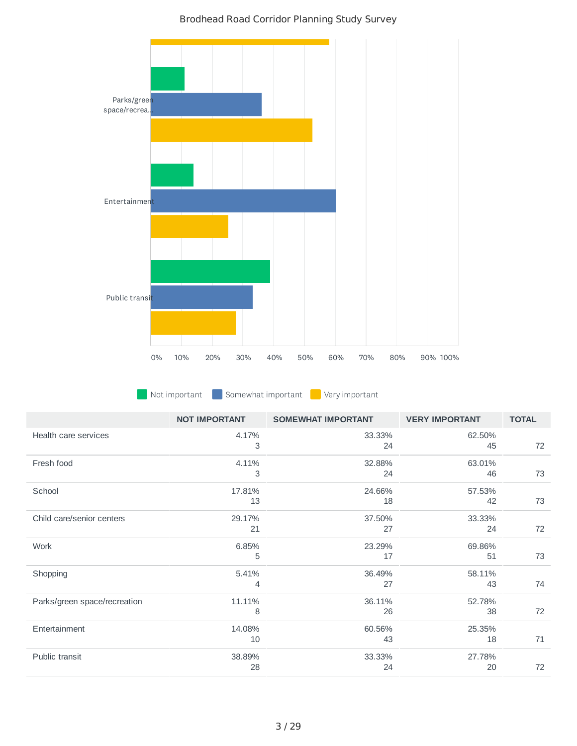

**Not important Somewhat important Very important** 

|                              | <b>NOT IMPORTANT</b> | <b>SOMEWHAT IMPORTANT</b> | <b>VERY IMPORTANT</b> | <b>TOTAL</b> |
|------------------------------|----------------------|---------------------------|-----------------------|--------------|
| Health care services         | 4.17%<br>3           | 33.33%<br>24              | 62.50%<br>45          | 72           |
| Fresh food                   | 4.11%<br>3           | 32.88%<br>24              | 63.01%<br>46          | 73           |
| School                       | 17.81%<br>13         | 24.66%<br>18              | 57.53%<br>42          | 73           |
| Child care/senior centers    | 29.17%<br>21         | 37.50%<br>27              | 33.33%<br>24          | 72           |
| Work                         | 6.85%<br>5           | 23.29%<br>17              | 69.86%<br>51          | 73           |
| Shopping                     | 5.41%<br>4           | 36.49%<br>27              | 58.11%<br>43          | 74           |
| Parks/green space/recreation | 11.11%<br>8          | 36.11%<br>26              | 52.78%<br>38          | 72           |
| Entertainment                | 14.08%<br>10         | 60.56%<br>43              | 25.35%<br>18          | 71           |
| Public transit               | 38.89%<br>28         | 33.33%<br>24              | 27.78%<br>20          | 72           |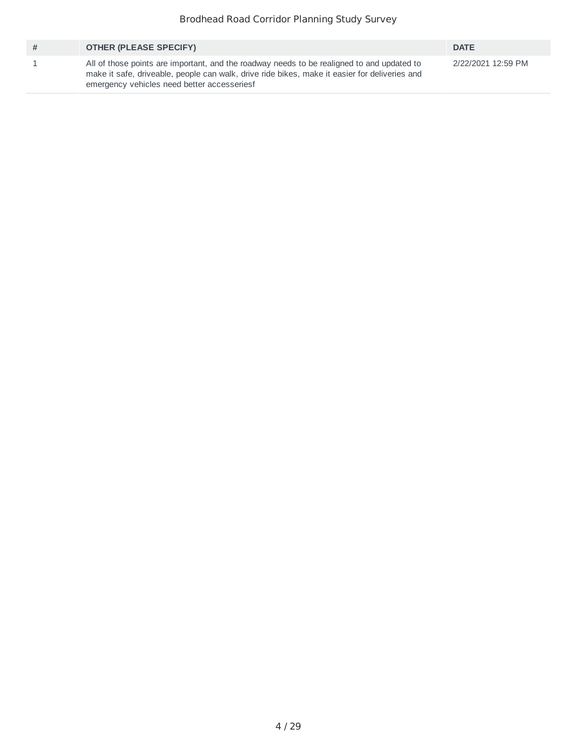| #     | <b>OTHER (PLEASE SPECIFY)</b>                                                                                                                                                                                                              | <b>DATE</b>        |
|-------|--------------------------------------------------------------------------------------------------------------------------------------------------------------------------------------------------------------------------------------------|--------------------|
| $\pm$ | All of those points are important, and the roadway needs to be realigned to and updated to<br>make it safe, driveable, people can walk, drive ride bikes, make it easier for deliveries and<br>emergency vehicles need better accesseriesf | 2/22/2021 12:59 PM |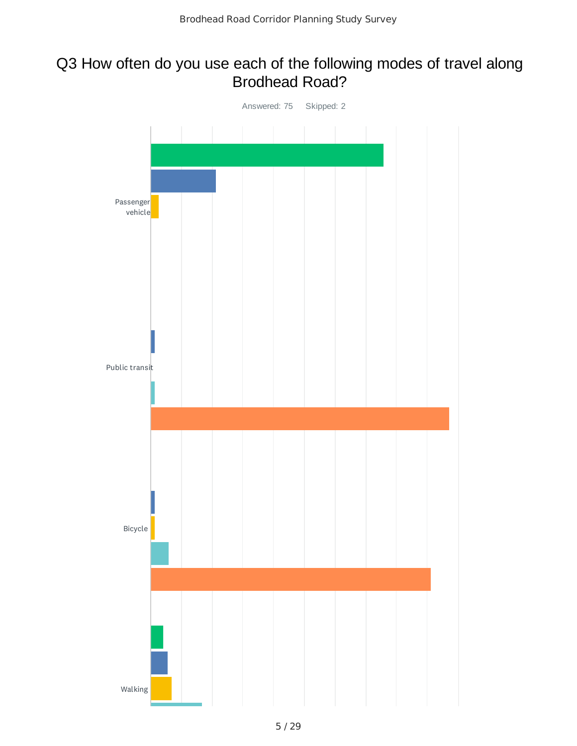## Q3 How often do you use each of the following modes of travel along Brodhead Road?

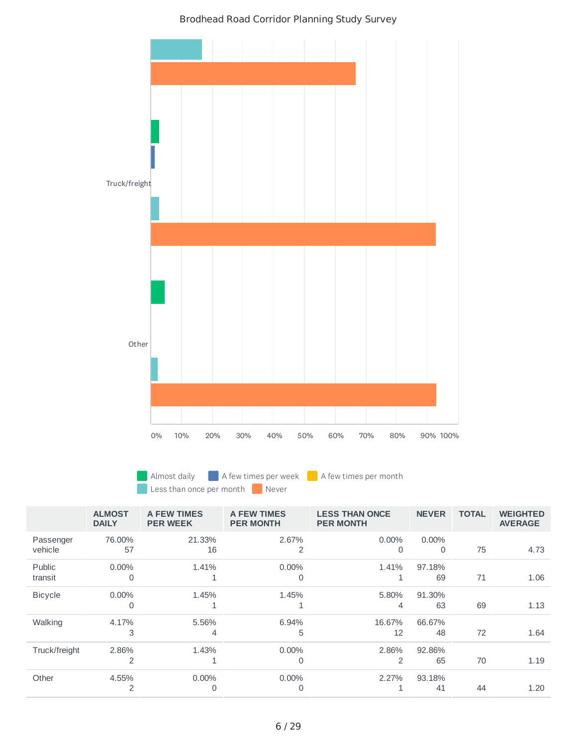

Almost daily **A** few times per week **A** few times per month Less than once per month Never

|                      | <b>ALMOST</b><br><b>DAILY</b> | A FEW TIMES<br><b>PER WEEK</b> | A FEW TIMES<br><b>PER MONTH</b> | <b>LESS THAN ONCE</b><br><b>PER MONTH</b> | <b>NEVER</b>         | <b>TOTAL</b> | <b>WEIGHTED</b><br><b>AVERAGE</b> |
|----------------------|-------------------------------|--------------------------------|---------------------------------|-------------------------------------------|----------------------|--------------|-----------------------------------|
| Passenger<br>vehicle | 76.00%<br>57                  | 21.33%<br>16                   | 2.67%<br>$\overline{2}$         | $0.00\%$<br>$\Omega$                      | $0.00\%$<br>$\Omega$ | 75           | 4.73                              |
|                      |                               |                                |                                 |                                           |                      |              |                                   |
| Public               | $0.00\%$                      | 1.41%                          | $0.00\%$                        | 1.41%                                     | 97.18%               |              |                                   |
| transit              | $\Omega$                      |                                | $\Omega$                        | 1                                         | 69                   | 71           | 1.06                              |
| <b>Bicycle</b>       | $0.00\%$                      | 1.45%                          | 1.45%                           | 5.80%                                     | 91.30%               |              |                                   |
|                      | 0                             |                                |                                 | 4                                         | 63                   | 69           | 1.13                              |
| Walking              | 4.17%                         | 5.56%                          | 6.94%                           | 16.67%                                    | 66.67%               |              |                                   |
|                      | 3                             | 4                              | 5                               | 12                                        | 48                   | 72           | 1.64                              |
| Truck/freight        | 2.86%                         | 1.43%                          | $0.00\%$                        | 2.86%                                     | 92.86%               |              |                                   |
|                      | 2                             | 1                              | 0                               | 2                                         | 65                   | 70           | 1.19                              |
| Other                | 4.55%                         | $0.00\%$                       | 0.00%                           | 2.27%                                     | 93.18%               |              |                                   |
|                      | 2                             | 0                              | 0                               |                                           | 41                   | 44           | 1.20                              |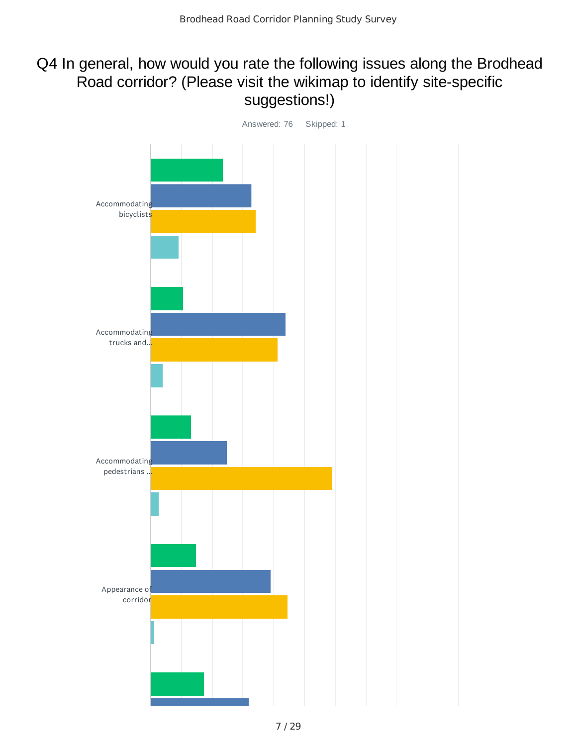## Q4 In general, how would you rate the following issues along the Brodhead Road corridor? (Please visit the wikimap to identify site-specific suggestions!)

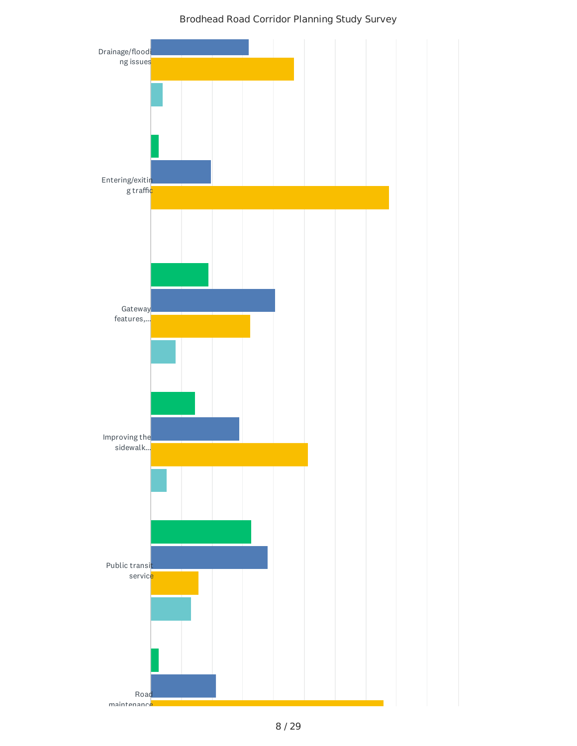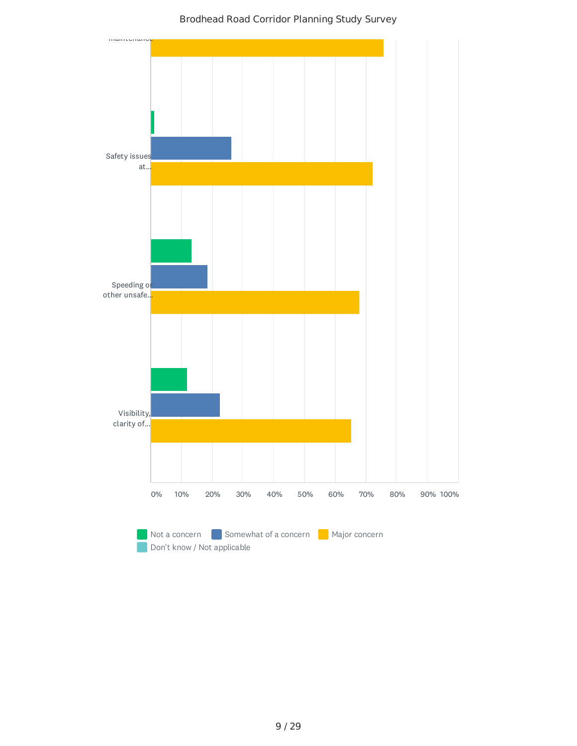

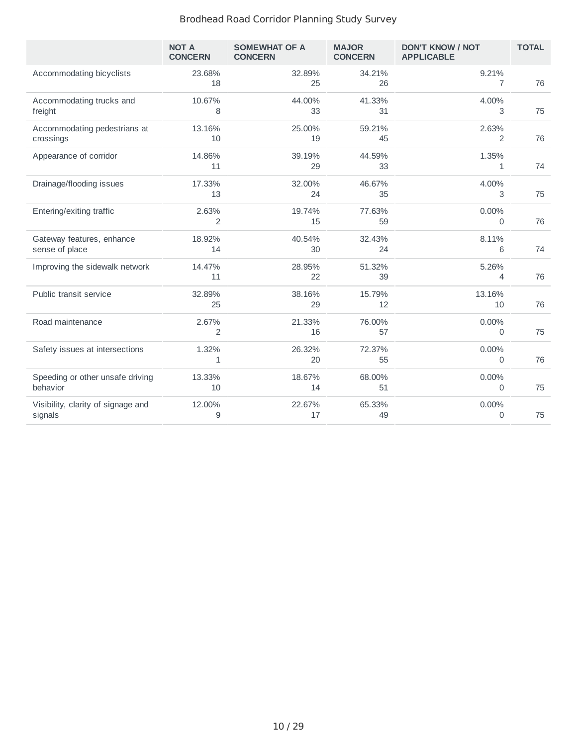|                                               | <b>NOT A</b><br><b>CONCERN</b> | <b>SOMEWHAT OF A</b><br><b>CONCERN</b> | <b>MAJOR</b><br><b>CONCERN</b> | <b>DON'T KNOW / NOT</b><br><b>APPLICABLE</b> | <b>TOTAL</b> |
|-----------------------------------------------|--------------------------------|----------------------------------------|--------------------------------|----------------------------------------------|--------------|
| Accommodating bicyclists                      | 23.68%<br>18                   | 32.89%<br>25                           | 34.21%<br>26                   | 9.21%<br>7                                   | 76           |
| Accommodating trucks and<br>freight           | 10.67%<br>8                    | 44.00%<br>33                           | 41.33%<br>31                   | 4.00%<br>3                                   | 75           |
| Accommodating pedestrians at<br>crossings     | 13.16%<br>10                   | 25.00%<br>19                           | 59.21%<br>45                   | 2.63%<br>2                                   | 76           |
| Appearance of corridor                        | 14.86%<br>11                   | 39.19%<br>29                           | 44.59%<br>33                   | 1.35%<br>$\mathbf{1}$                        | 74           |
| Drainage/flooding issues                      | 17.33%<br>13                   | 32.00%<br>24                           | 46.67%<br>35                   | 4.00%<br>3                                   | 75           |
| Entering/exiting traffic                      | 2.63%<br>2                     | 19.74%<br>15                           | 77.63%<br>59                   | 0.00%<br>0                                   | 76           |
| Gateway features, enhance<br>sense of place   | 18.92%<br>14                   | 40.54%<br>30                           | 32.43%<br>24                   | 8.11%<br>6                                   | 74           |
| Improving the sidewalk network                | 14.47%<br>11                   | 28.95%<br>22                           | 51.32%<br>39                   | 5.26%<br>4                                   | 76           |
| Public transit service                        | 32.89%<br>25                   | 38.16%<br>29                           | 15.79%<br>12                   | 13.16%<br>10                                 | 76           |
| Road maintenance                              | 2.67%<br>2                     | 21.33%<br>16                           | 76.00%<br>57                   | $0.00\%$<br>0                                | 75           |
| Safety issues at intersections                | 1.32%<br>$\mathbf{1}$          | 26.32%<br>20                           | 72.37%<br>55                   | 0.00%<br>$\Omega$                            | 76           |
| Speeding or other unsafe driving<br>behavior  | 13.33%<br>10                   | 18.67%<br>14                           | 68.00%<br>51                   | 0.00%<br>0                                   | 75           |
| Visibility, clarity of signage and<br>signals | 12.00%<br>9                    | 22.67%<br>17                           | 65.33%<br>49                   | 0.00%<br>0                                   | 75           |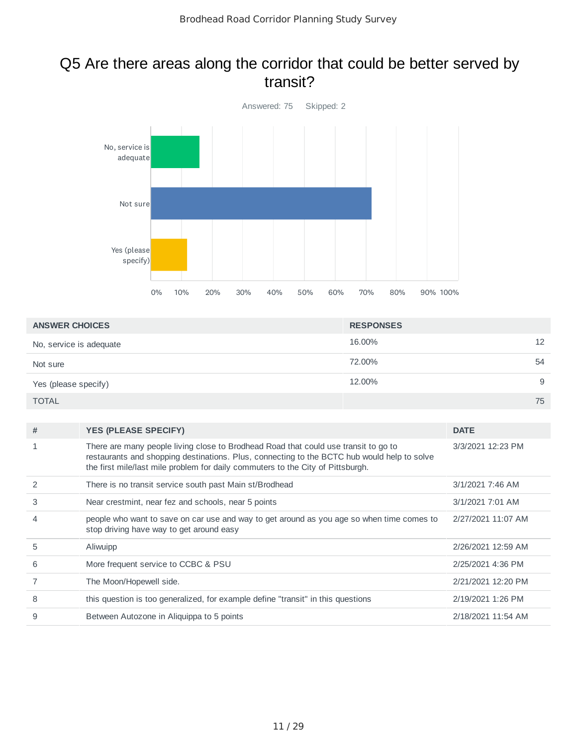## Q5 Are there areas along the corridor that could be better served by transit?



| <b>ANSWER CHOICES</b>   | <b>RESPONSES</b> |    |
|-------------------------|------------------|----|
| No, service is adequate | 16.00%           | 12 |
| Not sure                | 72.00%           | 54 |
| Yes (please specify)    | 12.00%           | 9  |
| <b>TOTAL</b>            |                  | 75 |

| # | <b>YES (PLEASE SPECIFY)</b>                                                                                                                                                                                                                                           | <b>DATE</b>        |
|---|-----------------------------------------------------------------------------------------------------------------------------------------------------------------------------------------------------------------------------------------------------------------------|--------------------|
|   | There are many people living close to Brodhead Road that could use transit to go to<br>restaurants and shopping destinations. Plus, connecting to the BCTC hub would help to solve<br>the first mile/last mile problem for daily commuters to the City of Pittsburgh. | 3/3/2021 12:23 PM  |
| 2 | There is no transit service south past Main st/Brodhead                                                                                                                                                                                                               | 3/1/2021 7:46 AM   |
| 3 | Near crestmint, near fez and schools, near 5 points                                                                                                                                                                                                                   | 3/1/2021 7:01 AM   |
| 4 | people who want to save on car use and way to get around as you age so when time comes to<br>stop driving have way to get around easy                                                                                                                                 | 2/27/2021 11:07 AM |
| 5 | Aliwuipp                                                                                                                                                                                                                                                              | 2/26/2021 12:59 AM |
| 6 | More frequent service to CCBC & PSU                                                                                                                                                                                                                                   | 2/25/2021 4:36 PM  |
|   | The Moon/Hopewell side.                                                                                                                                                                                                                                               | 2/21/2021 12:20 PM |
| 8 | this question is too generalized, for example define "transit" in this questions                                                                                                                                                                                      | 2/19/2021 1:26 PM  |
| 9 | Between Autozone in Aliguippa to 5 points                                                                                                                                                                                                                             | 2/18/2021 11:54 AM |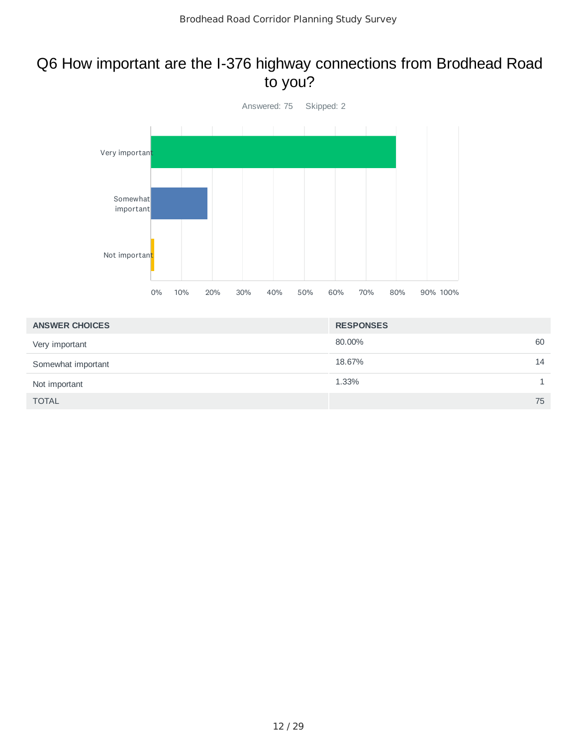## Q6 How important are the I-376 highway connections from Brodhead Road to you?



| <b>ANSWER CHOICES</b> | <b>RESPONSES</b> |    |
|-----------------------|------------------|----|
| Very important        | 80.00%           | 60 |
| Somewhat important    | 18.67%           | 14 |
| Not important         | 1.33%            | 1  |
| <b>TOTAL</b>          |                  | 75 |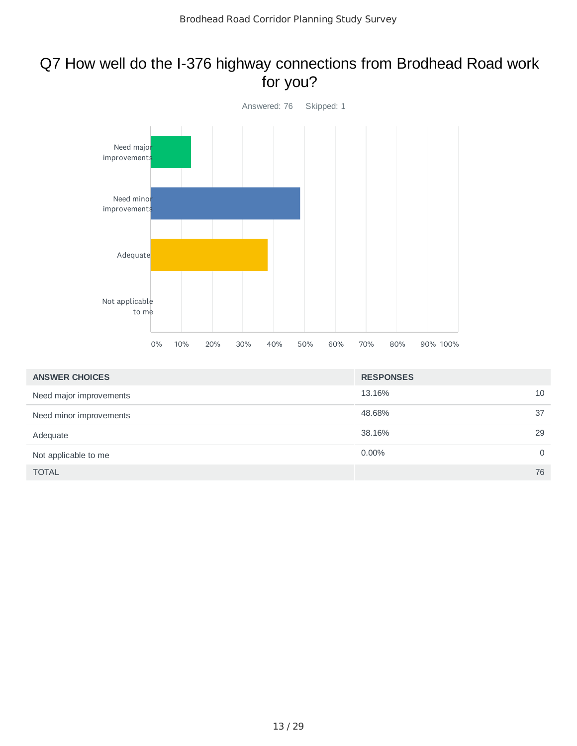## Q7 How well do the I-376 highway connections from Brodhead Road work for you?



| <b>ANSWER CHOICES</b>   | <b>RESPONSES</b> |          |
|-------------------------|------------------|----------|
| Need major improvements | 13.16%           | 10       |
| Need minor improvements | 48.68%           | 37       |
| Adequate                | 38.16%           | 29       |
| Not applicable to me    | $0.00\%$         | $\Omega$ |
| <b>TOTAL</b>            |                  | 76       |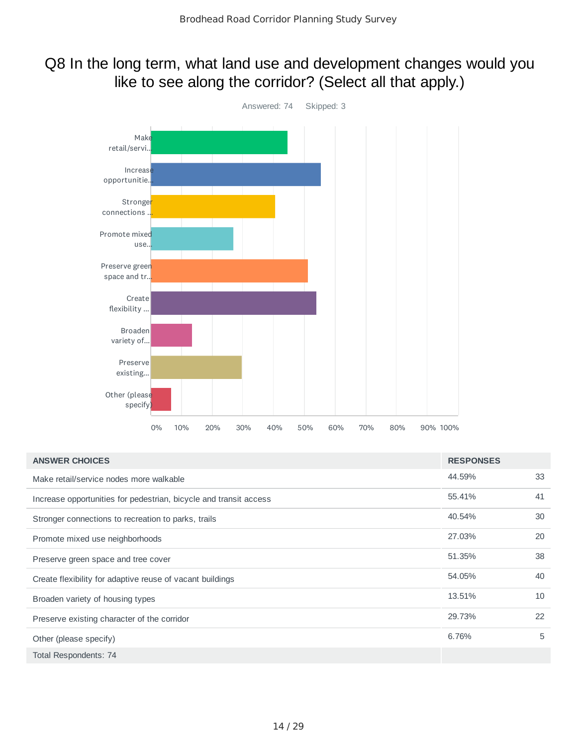## Q8 In the long term, what land use and development changes would you like to see along the corridor? (Select all that apply.)



| <b>ANSWER CHOICES</b>                                             | <b>RESPONSES</b> |    |
|-------------------------------------------------------------------|------------------|----|
| Make retail/service nodes more walkable                           | 44.59%           | 33 |
| Increase opportunities for pedestrian, bicycle and transit access | 55.41%           | 41 |
| Stronger connections to recreation to parks, trails               | 40.54%           | 30 |
| Promote mixed use neighborhoods                                   | 27.03%           | 20 |
| Preserve green space and tree cover                               | 51.35%           | 38 |
| Create flexibility for adaptive reuse of vacant buildings         | 54.05%           | 40 |
| Broaden variety of housing types                                  | 13.51%           | 10 |
| Preserve existing character of the corridor                       | 29.73%           | 22 |
| Other (please specify)                                            | 6.76%            | 5  |
| Total Respondents: 74                                             |                  |    |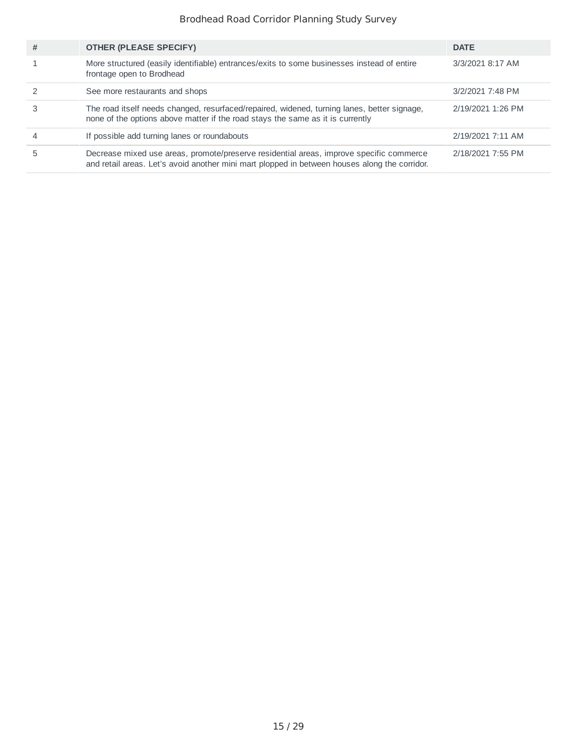| # | <b>OTHER (PLEASE SPECIFY)</b>                                                                                                                                                            | <b>DATE</b>       |
|---|------------------------------------------------------------------------------------------------------------------------------------------------------------------------------------------|-------------------|
|   | More structured (easily identifiable) entrances/exits to some businesses instead of entire<br>frontage open to Brodhead                                                                  | 3/3/2021 8:17 AM  |
|   | See more restaurants and shops                                                                                                                                                           | 3/2/2021 7:48 PM  |
|   | The road itself needs changed, resurfaced/repaired, widened, turning lanes, better signage,<br>none of the options above matter if the road stays the same as it is currently            | 2/19/2021 1:26 PM |
|   | If possible add turning lanes or roundabouts                                                                                                                                             | 2/19/2021 7:11 AM |
|   | Decrease mixed use areas, promote/preserve residential areas, improve specific commerce<br>and retail areas. Let's avoid another mini mart plopped in between houses along the corridor. | 2/18/2021 7:55 PM |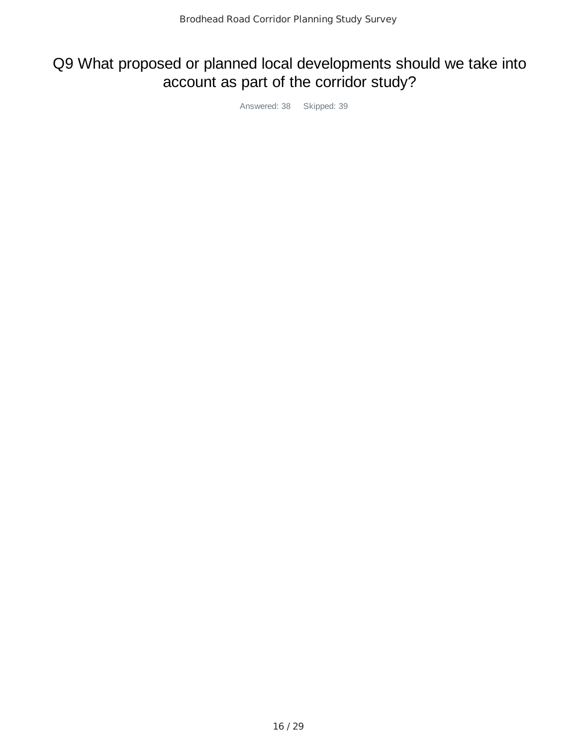# Q9 What proposed or planned local developments should we take into account as part of the corridor study?

Answered: 38 Skipped: 39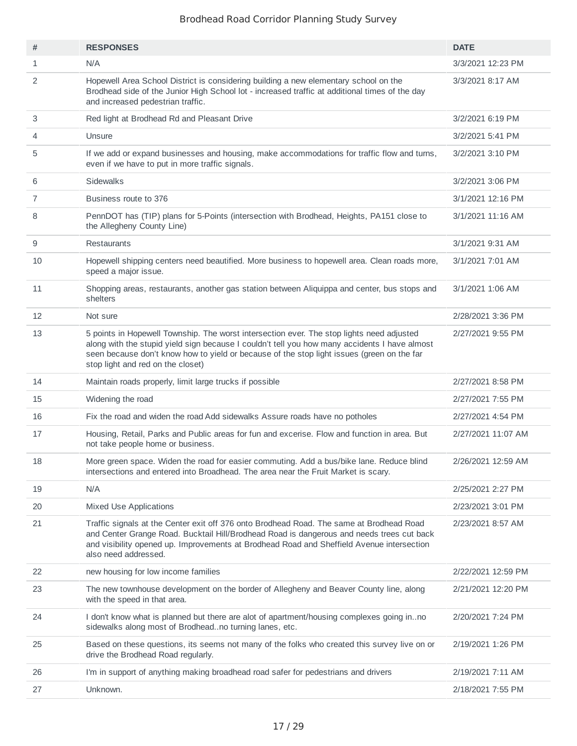| #              | <b>RESPONSES</b>                                                                                                                                                                                                                                                                                                              | <b>DATE</b>        |
|----------------|-------------------------------------------------------------------------------------------------------------------------------------------------------------------------------------------------------------------------------------------------------------------------------------------------------------------------------|--------------------|
| $\mathbf{1}$   | N/A                                                                                                                                                                                                                                                                                                                           | 3/3/2021 12:23 PM  |
| 2              | Hopewell Area School District is considering building a new elementary school on the<br>Brodhead side of the Junior High School lot - increased traffic at additional times of the day<br>and increased pedestrian traffic.                                                                                                   | 3/3/2021 8:17 AM   |
| 3              | Red light at Brodhead Rd and Pleasant Drive                                                                                                                                                                                                                                                                                   | 3/2/2021 6:19 PM   |
| 4              | Unsure                                                                                                                                                                                                                                                                                                                        | 3/2/2021 5:41 PM   |
| 5              | If we add or expand businesses and housing, make accommodations for traffic flow and turns,<br>even if we have to put in more traffic signals.                                                                                                                                                                                | 3/2/2021 3:10 PM   |
| 6              | <b>Sidewalks</b>                                                                                                                                                                                                                                                                                                              | 3/2/2021 3:06 PM   |
| $\overline{7}$ | Business route to 376                                                                                                                                                                                                                                                                                                         | 3/1/2021 12:16 PM  |
| 8              | PennDOT has (TIP) plans for 5-Points (intersection with Brodhead, Heights, PA151 close to<br>the Allegheny County Line)                                                                                                                                                                                                       | 3/1/2021 11:16 AM  |
| 9              | Restaurants                                                                                                                                                                                                                                                                                                                   | 3/1/2021 9:31 AM   |
| 10             | Hopewell shipping centers need beautified. More business to hopewell area. Clean roads more,<br>speed a major issue.                                                                                                                                                                                                          | 3/1/2021 7:01 AM   |
| 11             | Shopping areas, restaurants, another gas station between Aliquippa and center, bus stops and<br>shelters                                                                                                                                                                                                                      | 3/1/2021 1:06 AM   |
| 12             | Not sure                                                                                                                                                                                                                                                                                                                      | 2/28/2021 3:36 PM  |
| 13             | 5 points in Hopewell Township. The worst intersection ever. The stop lights need adjusted<br>along with the stupid yield sign because I couldn't tell you how many accidents I have almost<br>seen because don't know how to yield or because of the stop light issues (green on the far<br>stop light and red on the closet) | 2/27/2021 9:55 PM  |
| 14             | Maintain roads properly, limit large trucks if possible                                                                                                                                                                                                                                                                       | 2/27/2021 8:58 PM  |
| 15             | Widening the road                                                                                                                                                                                                                                                                                                             | 2/27/2021 7:55 PM  |
| 16             | Fix the road and widen the road Add sidewalks Assure roads have no potholes                                                                                                                                                                                                                                                   | 2/27/2021 4:54 PM  |
| 17             | Housing, Retail, Parks and Public areas for fun and excerise. Flow and function in area. But<br>not take people home or business.                                                                                                                                                                                             | 2/27/2021 11:07 AM |
| 18             | More green space. Widen the road for easier commuting. Add a bus/bike lane. Reduce blind<br>intersections and entered into Broadhead. The area near the Fruit Market is scary.                                                                                                                                                | 2/26/2021 12:59 AM |
| 19             | N/A                                                                                                                                                                                                                                                                                                                           | 2/25/2021 2:27 PM  |
| 20             | Mixed Use Applications                                                                                                                                                                                                                                                                                                        | 2/23/2021 3:01 PM  |
| 21             | Traffic signals at the Center exit off 376 onto Brodhead Road. The same at Brodhead Road<br>and Center Grange Road. Bucktail Hill/Brodhead Road is dangerous and needs trees cut back<br>and visibility opened up. Improvements at Brodhead Road and Sheffield Avenue intersection<br>also need addressed.                    | 2/23/2021 8:57 AM  |
| 22             | new housing for low income families                                                                                                                                                                                                                                                                                           | 2/22/2021 12:59 PM |
| 23             | The new townhouse development on the border of Allegheny and Beaver County line, along<br>with the speed in that area.                                                                                                                                                                                                        | 2/21/2021 12:20 PM |
| 24             | I don't know what is planned but there are alot of apartment/housing complexes going inno<br>sidewalks along most of Brodheadno turning lanes, etc.                                                                                                                                                                           | 2/20/2021 7:24 PM  |
| 25             | Based on these questions, its seems not many of the folks who created this survey live on or<br>drive the Brodhead Road regularly.                                                                                                                                                                                            | 2/19/2021 1:26 PM  |
| 26             | I'm in support of anything making broadhead road safer for pedestrians and drivers                                                                                                                                                                                                                                            | 2/19/2021 7:11 AM  |
| 27             | Unknown.                                                                                                                                                                                                                                                                                                                      | 2/18/2021 7:55 PM  |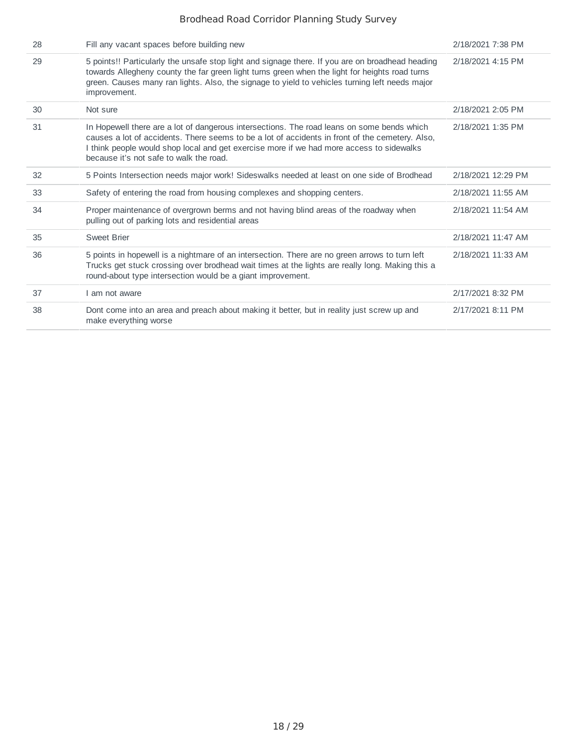| 28 | Fill any vacant spaces before building new                                                                                                                                                                                                                                                                                           | 2/18/2021 7:38 PM  |
|----|--------------------------------------------------------------------------------------------------------------------------------------------------------------------------------------------------------------------------------------------------------------------------------------------------------------------------------------|--------------------|
| 29 | 5 points!! Particularly the unsafe stop light and signage there. If you are on broadhead heading<br>towards Allegheny county the far green light turns green when the light for heights road turns<br>green. Causes many ran lights. Also, the signage to yield to vehicles turning left needs major<br>improvement.                 | 2/18/2021 4:15 PM  |
| 30 | Not sure                                                                                                                                                                                                                                                                                                                             | 2/18/2021 2:05 PM  |
| 31 | In Hopewell there are a lot of dangerous intersections. The road leans on some bends which<br>causes a lot of accidents. There seems to be a lot of accidents in front of the cemetery. Also,<br>I think people would shop local and get exercise more if we had more access to sidewalks<br>because it's not safe to walk the road. | 2/18/2021 1:35 PM  |
| 32 | 5 Points Intersection needs major work! Sideswalks needed at least on one side of Brodhead                                                                                                                                                                                                                                           | 2/18/2021 12:29 PM |
| 33 | Safety of entering the road from housing complexes and shopping centers.                                                                                                                                                                                                                                                             | 2/18/2021 11:55 AM |
| 34 | Proper maintenance of overgrown berms and not having blind areas of the roadway when<br>pulling out of parking lots and residential areas                                                                                                                                                                                            | 2/18/2021 11:54 AM |
| 35 | <b>Sweet Brier</b>                                                                                                                                                                                                                                                                                                                   | 2/18/2021 11:47 AM |
| 36 | 5 points in hopewell is a nightmare of an intersection. There are no green arrows to turn left<br>Trucks get stuck crossing over brodhead wait times at the lights are really long. Making this a<br>round-about type intersection would be a giant improvement.                                                                     | 2/18/2021 11:33 AM |
| 37 | I am not aware                                                                                                                                                                                                                                                                                                                       | 2/17/2021 8:32 PM  |
| 38 | Dont come into an area and preach about making it better, but in reality just screw up and<br>make everything worse                                                                                                                                                                                                                  | 2/17/2021 8:11 PM  |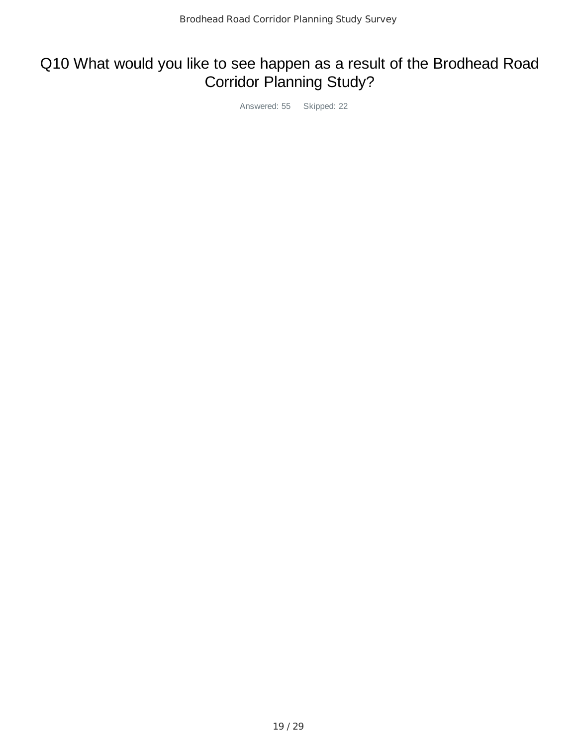# Q10 What would you like to see happen as a result of the Brodhead Road Corridor Planning Study?

Answered: 55 Skipped: 22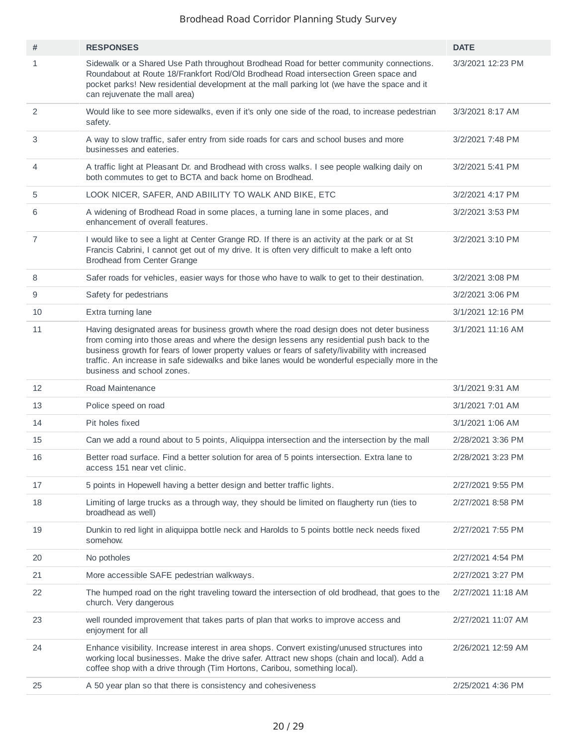| #              | <b>RESPONSES</b>                                                                                                                                                                                                                                                                                                                                                                                                            | <b>DATE</b>        |
|----------------|-----------------------------------------------------------------------------------------------------------------------------------------------------------------------------------------------------------------------------------------------------------------------------------------------------------------------------------------------------------------------------------------------------------------------------|--------------------|
| $\mathbf{1}$   | Sidewalk or a Shared Use Path throughout Brodhead Road for better community connections.<br>Roundabout at Route 18/Frankfort Rod/Old Brodhead Road intersection Green space and<br>pocket parks! New residential development at the mall parking lot (we have the space and it<br>can rejuvenate the mall area)                                                                                                             | 3/3/2021 12:23 PM  |
| 2              | Would like to see more sidewalks, even if it's only one side of the road, to increase pedestrian<br>safety.                                                                                                                                                                                                                                                                                                                 | 3/3/2021 8:17 AM   |
| 3              | A way to slow traffic, safer entry from side roads for cars and school buses and more<br>businesses and eateries.                                                                                                                                                                                                                                                                                                           | 3/2/2021 7:48 PM   |
| 4              | A traffic light at Pleasant Dr. and Brodhead with cross walks. I see people walking daily on<br>both commutes to get to BCTA and back home on Brodhead.                                                                                                                                                                                                                                                                     | 3/2/2021 5:41 PM   |
| 5              | LOOK NICER, SAFER, AND ABIILITY TO WALK AND BIKE, ETC                                                                                                                                                                                                                                                                                                                                                                       | 3/2/2021 4:17 PM   |
| 6              | A widening of Brodhead Road in some places, a turning lane in some places, and<br>enhancement of overall features.                                                                                                                                                                                                                                                                                                          | 3/2/2021 3:53 PM   |
| $\overline{7}$ | I would like to see a light at Center Grange RD. If there is an activity at the park or at St<br>Francis Cabrini, I cannot get out of my drive. It is often very difficult to make a left onto<br><b>Brodhead from Center Grange</b>                                                                                                                                                                                        | 3/2/2021 3:10 PM   |
| 8              | Safer roads for vehicles, easier ways for those who have to walk to get to their destination.                                                                                                                                                                                                                                                                                                                               | 3/2/2021 3:08 PM   |
| 9              | Safety for pedestrians                                                                                                                                                                                                                                                                                                                                                                                                      | 3/2/2021 3:06 PM   |
| 10             | Extra turning lane                                                                                                                                                                                                                                                                                                                                                                                                          | 3/1/2021 12:16 PM  |
| 11             | Having designated areas for business growth where the road design does not deter business<br>from coming into those areas and where the design lessens any residential push back to the<br>business growth for fears of lower property values or fears of safety/livability with increased<br>traffic. An increase in safe sidewalks and bike lanes would be wonderful especially more in the<br>business and school zones. | 3/1/2021 11:16 AM  |
| 12             | Road Maintenance                                                                                                                                                                                                                                                                                                                                                                                                            | 3/1/2021 9:31 AM   |
| 13             | Police speed on road                                                                                                                                                                                                                                                                                                                                                                                                        | 3/1/2021 7:01 AM   |
| 14             | Pit holes fixed                                                                                                                                                                                                                                                                                                                                                                                                             | 3/1/2021 1:06 AM   |
| 15             | Can we add a round about to 5 points, Aliquippa intersection and the intersection by the mall                                                                                                                                                                                                                                                                                                                               | 2/28/2021 3:36 PM  |
| 16             | Better road surface. Find a better solution for area of 5 points intersection. Extra lane to<br>access 151 near vet clinic.                                                                                                                                                                                                                                                                                                 | 2/28/2021 3:23 PM  |
| 17             | 5 points in Hopewell having a better design and better traffic lights.                                                                                                                                                                                                                                                                                                                                                      | 2/27/2021 9:55 PM  |
| 18             | Limiting of large trucks as a through way, they should be limited on flaugherty run (ties to<br>broadhead as well)                                                                                                                                                                                                                                                                                                          | 2/27/2021 8:58 PM  |
| 19             | Dunkin to red light in aliquippa bottle neck and Harolds to 5 points bottle neck needs fixed<br>somehow.                                                                                                                                                                                                                                                                                                                    | 2/27/2021 7:55 PM  |
| 20             | No potholes                                                                                                                                                                                                                                                                                                                                                                                                                 | 2/27/2021 4:54 PM  |
| 21             | More accessible SAFE pedestrian walkways.                                                                                                                                                                                                                                                                                                                                                                                   | 2/27/2021 3:27 PM  |
| 22             | The humped road on the right traveling toward the intersection of old brodhead, that goes to the<br>church. Very dangerous                                                                                                                                                                                                                                                                                                  | 2/27/2021 11:18 AM |
| 23             | well rounded improvement that takes parts of plan that works to improve access and<br>enjoyment for all                                                                                                                                                                                                                                                                                                                     | 2/27/2021 11:07 AM |
| 24             | Enhance visibility. Increase interest in area shops. Convert existing/unused structures into<br>working local businesses. Make the drive safer. Attract new shops (chain and local). Add a<br>coffee shop with a drive through (Tim Hortons, Caribou, something local).                                                                                                                                                     | 2/26/2021 12:59 AM |
| 25             | A 50 year plan so that there is consistency and cohesiveness                                                                                                                                                                                                                                                                                                                                                                | 2/25/2021 4:36 PM  |
|                |                                                                                                                                                                                                                                                                                                                                                                                                                             |                    |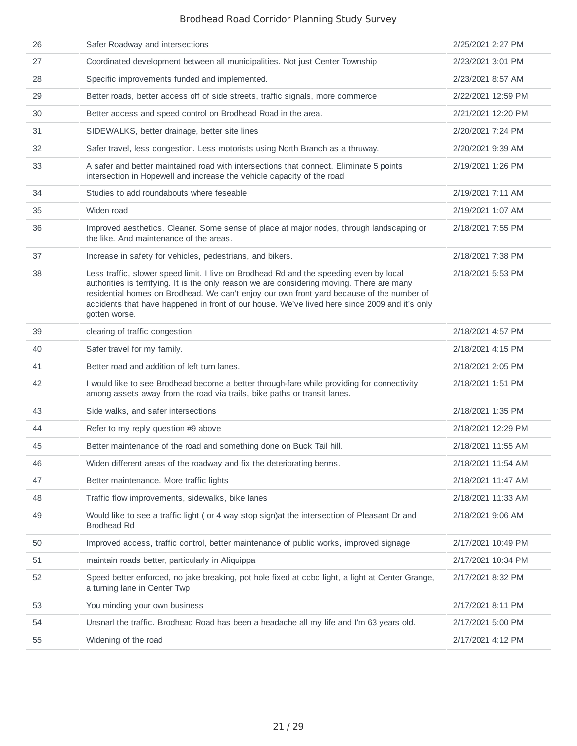| 26 | Safer Roadway and intersections                                                                                                                                                                                                                                                                                                                                                                     | 2/25/2021 2:27 PM  |
|----|-----------------------------------------------------------------------------------------------------------------------------------------------------------------------------------------------------------------------------------------------------------------------------------------------------------------------------------------------------------------------------------------------------|--------------------|
| 27 | Coordinated development between all municipalities. Not just Center Township                                                                                                                                                                                                                                                                                                                        | 2/23/2021 3:01 PM  |
| 28 | Specific improvements funded and implemented.                                                                                                                                                                                                                                                                                                                                                       | 2/23/2021 8:57 AM  |
| 29 | Better roads, better access off of side streets, traffic signals, more commerce                                                                                                                                                                                                                                                                                                                     | 2/22/2021 12:59 PM |
| 30 | Better access and speed control on Brodhead Road in the area.                                                                                                                                                                                                                                                                                                                                       | 2/21/2021 12:20 PM |
| 31 | SIDEWALKS, better drainage, better site lines                                                                                                                                                                                                                                                                                                                                                       | 2/20/2021 7:24 PM  |
| 32 | Safer travel, less congestion. Less motorists using North Branch as a thruway.                                                                                                                                                                                                                                                                                                                      | 2/20/2021 9:39 AM  |
| 33 | A safer and better maintained road with intersections that connect. Eliminate 5 points<br>intersection in Hopewell and increase the vehicle capacity of the road                                                                                                                                                                                                                                    | 2/19/2021 1:26 PM  |
| 34 | Studies to add roundabouts where feseable                                                                                                                                                                                                                                                                                                                                                           | 2/19/2021 7:11 AM  |
| 35 | Widen road                                                                                                                                                                                                                                                                                                                                                                                          | 2/19/2021 1:07 AM  |
| 36 | Improved aesthetics. Cleaner. Some sense of place at major nodes, through landscaping or<br>the like. And maintenance of the areas.                                                                                                                                                                                                                                                                 | 2/18/2021 7:55 PM  |
| 37 | Increase in safety for vehicles, pedestrians, and bikers.                                                                                                                                                                                                                                                                                                                                           | 2/18/2021 7:38 PM  |
| 38 | Less traffic, slower speed limit. I live on Brodhead Rd and the speeding even by local<br>authorities is terrifying. It is the only reason we are considering moving. There are many<br>residential homes on Brodhead. We can't enjoy our own front yard because of the number of<br>accidents that have happened in front of our house. We've lived here since 2009 and it's only<br>gotten worse. | 2/18/2021 5:53 PM  |
| 39 | clearing of traffic congestion                                                                                                                                                                                                                                                                                                                                                                      | 2/18/2021 4:57 PM  |
| 40 | Safer travel for my family.                                                                                                                                                                                                                                                                                                                                                                         | 2/18/2021 4:15 PM  |
| 41 | Better road and addition of left turn lanes.                                                                                                                                                                                                                                                                                                                                                        | 2/18/2021 2:05 PM  |
| 42 | I would like to see Brodhead become a better through-fare while providing for connectivity<br>among assets away from the road via trails, bike paths or transit lanes.                                                                                                                                                                                                                              | 2/18/2021 1:51 PM  |
| 43 | Side walks, and safer intersections                                                                                                                                                                                                                                                                                                                                                                 | 2/18/2021 1:35 PM  |
| 44 | Refer to my reply question #9 above                                                                                                                                                                                                                                                                                                                                                                 | 2/18/2021 12:29 PM |
| 45 | Better maintenance of the road and something done on Buck Tail hill.                                                                                                                                                                                                                                                                                                                                | 2/18/2021 11:55 AM |
| 46 | Widen different areas of the roadway and fix the deteriorating berms.                                                                                                                                                                                                                                                                                                                               | 2/18/2021 11:54 AM |
| 47 | Better maintenance. More traffic lights                                                                                                                                                                                                                                                                                                                                                             | 2/18/2021 11:47 AM |
| 48 | Traffic flow improvements, sidewalks, bike lanes                                                                                                                                                                                                                                                                                                                                                    | 2/18/2021 11:33 AM |
| 49 | Would like to see a traffic light (or 4 way stop sign) at the intersection of Pleasant Dr and<br><b>Brodhead Rd</b>                                                                                                                                                                                                                                                                                 | 2/18/2021 9:06 AM  |
| 50 | Improved access, traffic control, better maintenance of public works, improved signage                                                                                                                                                                                                                                                                                                              | 2/17/2021 10:49 PM |
| 51 | maintain roads better, particularly in Aliquippa                                                                                                                                                                                                                                                                                                                                                    | 2/17/2021 10:34 PM |
| 52 | Speed better enforced, no jake breaking, pot hole fixed at ccbc light, a light at Center Grange,<br>a turning lane in Center Twp                                                                                                                                                                                                                                                                    | 2/17/2021 8:32 PM  |
| 53 | You minding your own business                                                                                                                                                                                                                                                                                                                                                                       | 2/17/2021 8:11 PM  |
| 54 | Unsnarl the traffic. Brodhead Road has been a headache all my life and I'm 63 years old.                                                                                                                                                                                                                                                                                                            | 2/17/2021 5:00 PM  |
| 55 | Widening of the road                                                                                                                                                                                                                                                                                                                                                                                | 2/17/2021 4:12 PM  |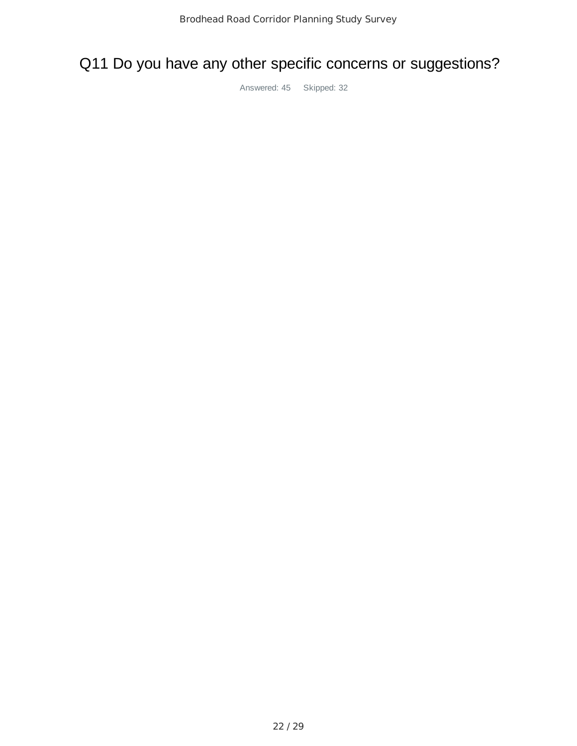# Q11 Do you have any other specific concerns or suggestions?

Answered: 45 Skipped: 32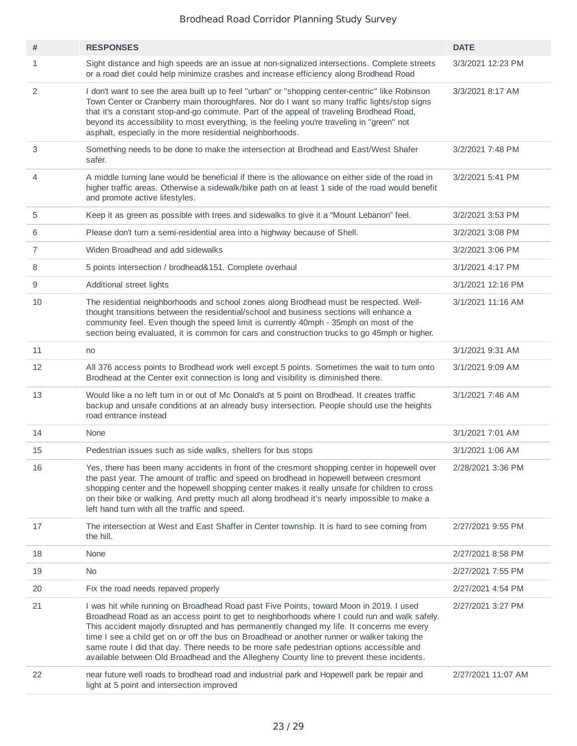| #              | <b>RESPONSES</b>                                                                                                                                                                                                                                                                                                                                                                                                                                                                                                                                                              | <b>DATE</b>        |
|----------------|-------------------------------------------------------------------------------------------------------------------------------------------------------------------------------------------------------------------------------------------------------------------------------------------------------------------------------------------------------------------------------------------------------------------------------------------------------------------------------------------------------------------------------------------------------------------------------|--------------------|
| 1              | Sight distance and high speeds are an issue at non-signalized intersections. Complete streets<br>or a road diet could help minimize crashes and increase efficiency along Brodhead Road                                                                                                                                                                                                                                                                                                                                                                                       | 3/3/2021 12:23 PM  |
| 2              | I don't want to see the area built up to feel "urban" or "shopping center-centric" like Robinson<br>Town Center or Cranberry main thoroughfares. Nor do I want so many traffic lights/stop signs<br>that it's a constant stop-and-go commute. Part of the appeal of traveling Brodhead Road,<br>beyond its accessibility to most everything, is the feeling you're traveling in "green" not<br>asphalt, especially in the more residential neighborhoods.                                                                                                                     | 3/3/2021 8:17 AM   |
| 3              | Something needs to be done to make the intersection at Brodhead and East/West Shafer<br>safer.                                                                                                                                                                                                                                                                                                                                                                                                                                                                                | 3/2/2021 7:48 PM   |
| 4              | A middle turning lane would be beneficial if there is the allowance on either side of the road in<br>higher traffic areas. Otherwise a sidewalk/bike path on at least 1 side of the road would benefit<br>and promote active lifestyles.                                                                                                                                                                                                                                                                                                                                      | 3/2/2021 5:41 PM   |
| 5              | Keep it as green as possible with trees and sidewalks to give it a "Mount Lebanon" feel.                                                                                                                                                                                                                                                                                                                                                                                                                                                                                      | 3/2/2021 3:53 PM   |
| 6              | Please don't turn a semi-residential area into a highway because of Shell.                                                                                                                                                                                                                                                                                                                                                                                                                                                                                                    | 3/2/2021 3:08 PM   |
| $\overline{7}$ | Widen Broadhead and add sidewalks                                                                                                                                                                                                                                                                                                                                                                                                                                                                                                                                             | 3/2/2021 3:06 PM   |
| 8              | 5 points intersection / brodhead&151. Complete overhaul                                                                                                                                                                                                                                                                                                                                                                                                                                                                                                                       | 3/1/2021 4:17 PM   |
| 9              | Additional street lights                                                                                                                                                                                                                                                                                                                                                                                                                                                                                                                                                      | 3/1/2021 12:16 PM  |
| 10             | The residential neighborhoods and school zones along Brodhead must be respected. Well-<br>thought transitions between the residential/school and business sections will enhance a<br>community feel. Even though the speed limit is currently 40mph - 35mph on most of the<br>section being evaluated, it is common for cars and construction trucks to go 45mph or higher.                                                                                                                                                                                                   | 3/1/2021 11:16 AM  |
| 11             | no                                                                                                                                                                                                                                                                                                                                                                                                                                                                                                                                                                            | 3/1/2021 9:31 AM   |
| 12             | All 376 access points to Brodhead work well except 5 points. Sometimes the wait to turn onto<br>Brodhead at the Center exit connection is long and visibility is diminished there.                                                                                                                                                                                                                                                                                                                                                                                            | 3/1/2021 9:09 AM   |
| 13             | Would like a no left turn in or out of Mc Donald's at 5 point on Brodhead. It creates traffic<br>backup and unsafe conditions at an already busy intersection. People should use the heights<br>road entrance instead                                                                                                                                                                                                                                                                                                                                                         | 3/1/2021 7:46 AM   |
| 14             | None                                                                                                                                                                                                                                                                                                                                                                                                                                                                                                                                                                          | 3/1/2021 7:01 AM   |
| 15             | Pedestrian issues such as side walks, shelters for bus stops                                                                                                                                                                                                                                                                                                                                                                                                                                                                                                                  | 3/1/2021 1:06 AM   |
| 16             | Yes, there has been many accidents in front of the cresmont shopping center in hopewell over<br>the past year. The amount of traffic and speed on brodhead in hopewell between cresmont<br>shopping center and the hopewell shopping center makes it really unsafe for children to cross<br>on their bike or walking. And pretty much all along brodhead it's nearly impossible to make a<br>left hand turn with all the traffic and speed.                                                                                                                                   | 2/28/2021 3:36 PM  |
| 17             | The intersection at West and East Shaffer in Center township. It is hard to see coming from<br>the hill.                                                                                                                                                                                                                                                                                                                                                                                                                                                                      | 2/27/2021 9:55 PM  |
| 18             | None                                                                                                                                                                                                                                                                                                                                                                                                                                                                                                                                                                          | 2/27/2021 8:58 PM  |
| 19             | No                                                                                                                                                                                                                                                                                                                                                                                                                                                                                                                                                                            | 2/27/2021 7:55 PM  |
| 20             | Fix the road needs repaved properly                                                                                                                                                                                                                                                                                                                                                                                                                                                                                                                                           | 2/27/2021 4:54 PM  |
| 21             | I was hit while running on Broadhead Road past Five Points, toward Moon in 2019. I used<br>Broadhead Road as an access point to get to neighborhoods where I could run and walk safely.<br>This accident majorly disrupted and has permanently changed my life. It concerns me every<br>time I see a child get on or off the bus on Broadhead or another runner or walker taking the<br>same route I did that day. There needs to be more safe pedestrian options accessible and<br>available between Old Broadhead and the Allegheny County line to prevent these incidents. | 2/27/2021 3:27 PM  |
| 22             | near future well roads to brodhead road and industrial park and Hopewell park be repair and<br>light at 5 point and intersection improved                                                                                                                                                                                                                                                                                                                                                                                                                                     | 2/27/2021 11:07 AM |